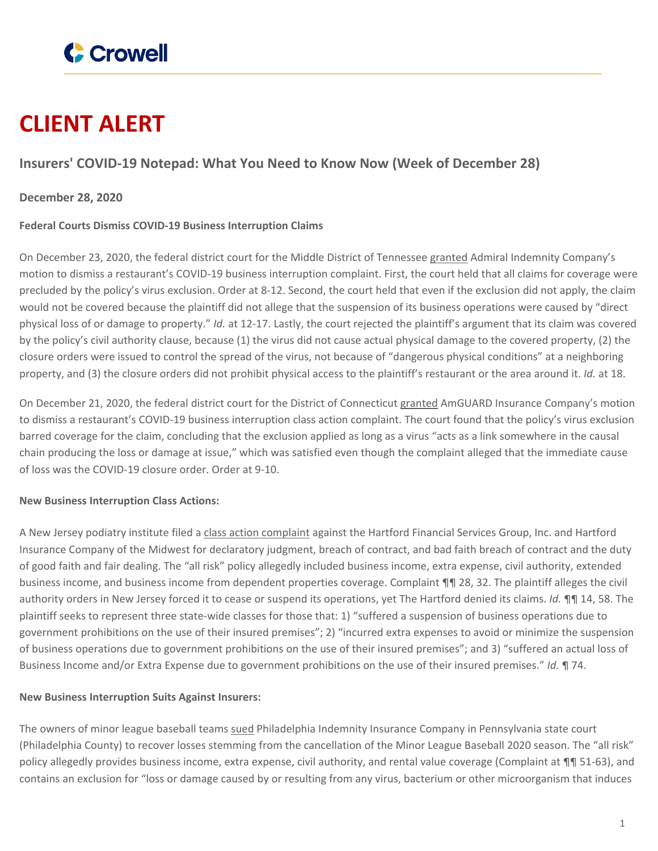

# **CLIENT ALERT**

# **Insurers' COVID-19 Notepad: What You Need to Know Now (Week of December 28)**

## **December 28, 2020**

### **Federal Courts Dismiss COVID-19 Business Interruption Claims**

On December 23, 2020, the federal district court for the Middle District of Tennessee [granted](https://www.crowell.com/files/1210-McGavock-St-Order.PDF) Admiral Indemnity Company's motion to dismiss a restaurant's COVID-19 business interruption complaint. First, the court held that all claims for coverage were precluded by the policy's virus exclusion. Order at 8-12. Second, the court held that even if the exclusion did not apply, the claim would not be covered because the plaintiff did not allege that the suspension of its business operations were caused by "direct physical loss of or damage to property." *Id.* at 12-17. Lastly, the court rejected the plaintiff's argument that its claim was covered by the policy's civil authority clause, because (1) the virus did not cause actual physical damage to the covered property, (2) the closure orders were issued to control the spread of the virus, not because of "dangerous physical conditions" at a neighboring property, and (3) the closure orders did not prohibit physical access to the plaintiff's restaurant or the area around it. *Id.* at 18.

On December 21, 2020, the federal district court for the District of Connecticut [granted](https://www.crowell.com/files/LJ-New-Haven-Order.PDf) AmGUARD Insurance Company's motion to dismiss a restaurant's COVID-19 business interruption class action complaint. The court found that the policy's virus exclusion barred coverage for the claim, concluding that the exclusion applied as long as a virus "acts as a link somewhere in the causal chain producing the loss or damage at issue," which was satisfied even though the complaint alleged that the immediate cause of loss was the COVID-19 closure order. Order at 9-10.

#### **New Business Interruption Class Actions:**

A New Jersey podiatry institute filed a class action [complaint](https://www.crowell.com/files/Podiatry-Foot-Ankle-Institute-Complaint.PDF) against the Hartford Financial Services Group, Inc. and Hartford Insurance Company of the Midwest for declaratory judgment, breach of contract, and bad faith breach of contract and the duty of good faith and fair dealing. The "all risk" policy allegedly included business income, extra expense, civil authority, extended business income, and business income from dependent properties coverage. Complaint ¶¶ 28, 32. The plaintiff alleges the civil authority orders in New Jersey forced it to cease or suspend its operations, yet The Hartford denied its claims. *Id.* ¶¶ 14, 58. The plaintiff seeks to represent three state-wide classes for those that: 1) "suffered a suspension of business operations due to government prohibitions on the use of their insured premises"; 2) "incurred extra expenses to avoid or minimize the suspension of business operations due to government prohibitions on the use of their insured premises"; and 3) "suffered an actual loss of Business Income and/or Extra Expense due to government prohibitions on the use of their insured premises." *Id.* ¶ 74.

#### **New Business Interruption Suits Against Insurers:**

The owners of minor league baseball teams [sued](https://www.crowell.com/files/Lehigh-Valley-Basketball-Complaint.PDF) Philadelphia Indemnity Insurance Company in Pennsylvania state court (Philadelphia County) to recover losses stemming from the cancellation of the Minor League Baseball 2020 season. The "all risk" policy allegedly provides business income, extra expense, civil authority, and rental value coverage (Complaint at  $\P$ ] 51-63), and contains an exclusion for "loss or damage caused by or resulting from any virus, bacterium or other microorganism that induces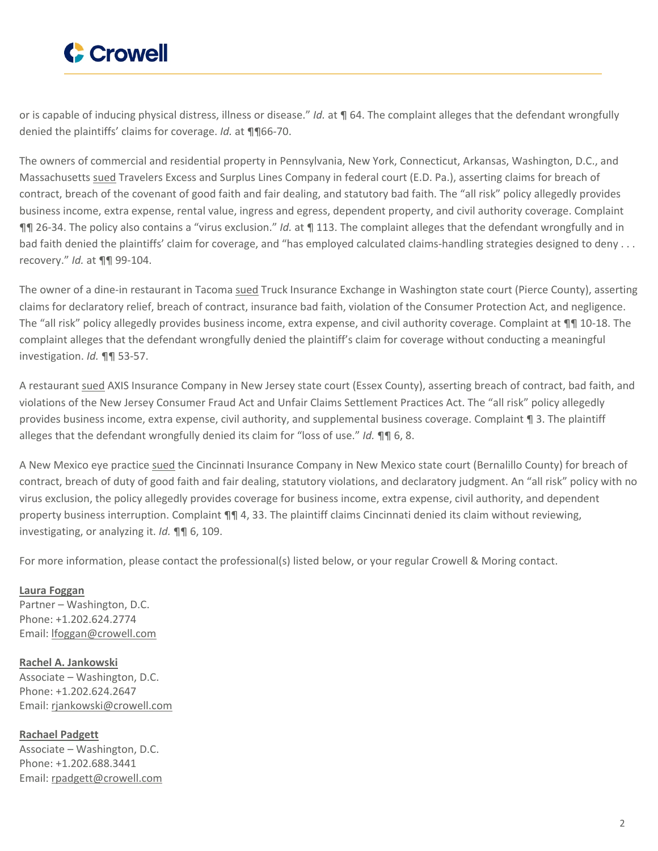

or is capable of inducing physical distress, illness or disease." *Id.* at ¶ 64. The complaint alleges that the defendant wrongfully denied the plaintiffs' claims for coverage. *Id.* at ¶¶66-70.

The owners of commercial and residential property in Pennsylvania, New York, Connecticut, Arkansas, Washington, D.C., and Massachusetts [sued](https://www.crowell.com/files/Infinity-Real-Estate-Complaint.PDF) Travelers Excess and Surplus Lines Company in federal court (E.D. Pa.), asserting claims for breach of contract, breach of the covenant of good faith and fair dealing, and statutory bad faith. The "all risk" policy allegedly provides business income, extra expense, rental value, ingress and egress, dependent property, and civil authority coverage. Complaint ¶¶ 26-34. The policy also contains a "virus exclusion." *Id.* at ¶ 113. The complaint alleges that the defendant wrongfully and in bad faith denied the plaintiffs' claim for coverage, and "has employed calculated claims-handling strategies designed to deny . . . recovery." *Id.* at ¶¶ 99-104.

The owner of a dine-in restaurant in Tacoma [sued](https://www.crowell.com/files/Yees-Sax-Complaint.PDF) Truck Insurance Exchange in Washington state court (Pierce County), asserting claims for declaratory relief, breach of contract, insurance bad faith, violation of the Consumer Protection Act, and negligence. The "all risk" policy allegedly provides business income, extra expense, and civil authority coverage. Complaint at ¶¶ 10-18. The complaint alleges that the defendant wrongfully denied the plaintiff's claim for coverage without conducting a meaningful investigation. *Id.* ¶¶ 53-57.

A restaurant [sued](https://www.crowell.com/files/Sousa-Rest-Grp-Complaint.PDF) AXIS Insurance Company in New Jersey state court (Essex County), asserting breach of contract, bad faith, and violations of the New Jersey Consumer Fraud Act and Unfair Claims Settlement Practices Act. The "all risk" policy allegedly provides business income, extra expense, civil authority, and supplemental business coverage. Complaint ¶ 3. The plaintiff alleges that the defendant wrongfully denied its claim for "loss of use." *Id.* ¶¶ 6, 8.

A New Mexico eye practice [sued](https://www.crowell.com/files/Eye-Assocs-of-New-Mexico-Complaint.PDF) the Cincinnati Insurance Company in New Mexico state court (Bernalillo County) for breach of contract, breach of duty of good faith and fair dealing, statutory violations, and declaratory judgment. An "all risk" policy with no virus exclusion, the policy allegedly provides coverage for business income, extra expense, civil authority, and dependent property business interruption. Complaint  $\P\P$  4, 33. The plaintiff claims Cincinnati denied its claim without reviewing, investigating, or analyzing it. *Id.* ¶¶ 6, 109.

For more information, please contact the professional(s) listed below, or your regular Crowell & Moring contact.

**Laura [Foggan](https://www.crowell.com/professionals/Laura-Foggan)** Partner – Washington, D.C. Phone: +1.202.624.2774 Email: [lfoggan@crowell.com](mailto:lfoggan@crowell.com)

**Rachel A. [Jankowski](https://www.crowell.com/professionals/Rachel-Jankowski)** Associate – Washington, D.C. Phone: +1.202.624.2647 Email: [rjankowski@crowell.com](mailto:rjankowski@crowell.com)

**[Rachael](https://www.crowell.com/professionals/Rachael-Padgett) Padgett** Associate – Washington, D.C. Phone: +1.202.688.3441 Email: [rpadgett@crowell.com](mailto:rpadgett@crowell.com)